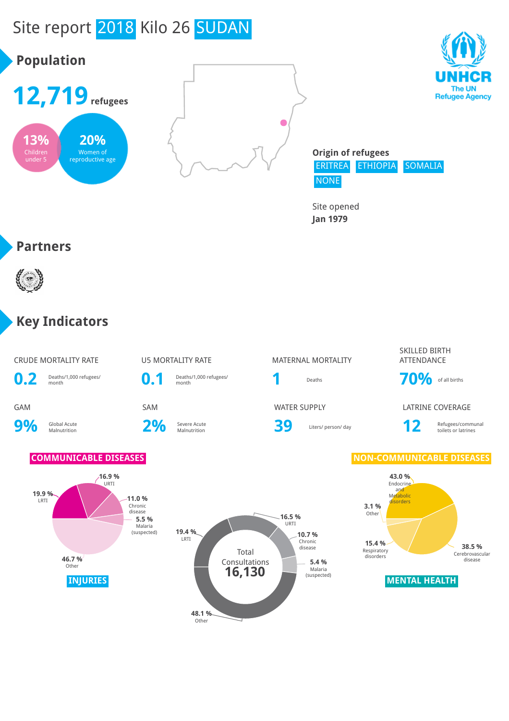# Site report 2018 Kilo 26 SUDAN



Site opened **Jan 1979**

#### **Partners**



#### **Key Indicators**

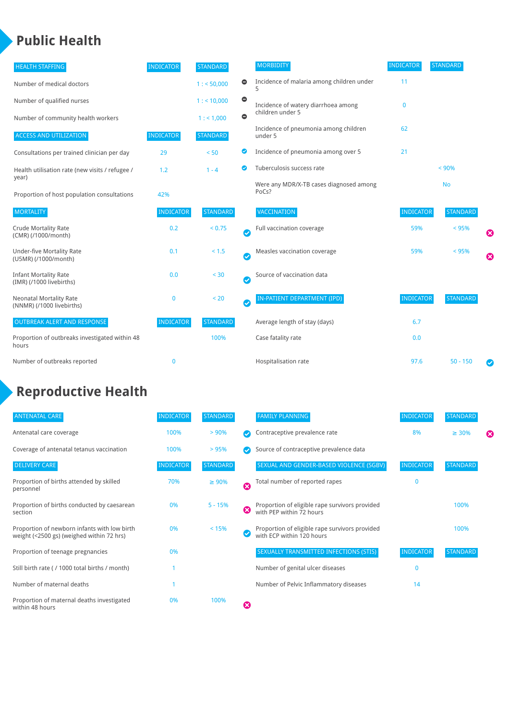### **Public Health**

| <b>HEALTH STAFFING</b>                                      | <b>INDICATOR</b> | <b>STANDARD</b> |           | <b>MORBIDITY</b>                                 | <b>INDICATOR</b> | <b>STANDARD</b> |   |
|-------------------------------------------------------------|------------------|-----------------|-----------|--------------------------------------------------|------------------|-----------------|---|
| Number of medical doctors                                   |                  | 1: 50,000       | 0         | Incidence of malaria among children under        | 11               |                 |   |
| Number of qualified nurses                                  |                  | 1:10,000        | $\bullet$ | Incidence of watery diarrhoea among              | $\mathbf 0$      |                 |   |
| Number of community health workers                          |                  | 1: 1,000        | $\bullet$ | children under 5                                 |                  |                 |   |
| <b>ACCESS AND UTILIZATION</b>                               | <b>INDICATOR</b> | <b>STANDARD</b> |           | Incidence of pneumonia among children<br>under 5 | 62               |                 |   |
| Consultations per trained clinician per day                 | 29               | < 50            | Ø         | Incidence of pneumonia among over 5              | 21               |                 |   |
| Health utilisation rate (new visits / refugee /             | 1.2              | $1 - 4$         | ◙         | Tuberculosis success rate                        |                  | < 90%           |   |
| year)<br>Proportion of host population consultations        | 42%              |                 |           | Were any MDR/X-TB cases diagnosed among<br>PoCs? |                  | <b>No</b>       |   |
| <b>MORTALITY</b>                                            | <b>INDICATOR</b> | <b>STANDARD</b> |           | <b>VACCINATION</b>                               | <b>INDICATOR</b> | <b>STANDARD</b> |   |
| <b>Crude Mortality Rate</b><br>(CMR) (/1000/month)          | 0.2              | < 0.75          | $\bullet$ | Full vaccination coverage                        | 59%              | < 95%           | € |
| <b>Under-five Mortality Rate</b><br>(U5MR) (/1000/month)    | 0.1              | < 1.5           | $\bullet$ | Measles vaccination coverage                     | 59%              | < 95%           | Ø |
| <b>Infant Mortality Rate</b><br>(IMR) (/1000 livebirths)    | 0.0              | $< 30$          | Ø         | Source of vaccination data                       |                  |                 |   |
| <b>Neonatal Mortality Rate</b><br>(NNMR) (/1000 livebirths) | 0                | < 20            | $\bullet$ | IN-PATIENT DEPARTMENT (IPD)                      | <b>INDICATOR</b> | <b>STANDARD</b> |   |
| <b>OUTBREAK ALERT AND RESPONSE</b>                          | <b>INDICATOR</b> | <b>STANDARD</b> |           | Average length of stay (days)                    | 6.7              |                 |   |
| Proportion of outbreaks investigated within 48<br>hours     |                  | 100%            |           | Case fatality rate                               | 0.0              |                 |   |
| Number of outbreaks reported                                | $\mathbf 0$      |                 |           | Hospitalisation rate                             | 97.6             | $50 - 150$      |   |

## **Reproductive Health**

| <b>ANTENATAL CARE</b>                                                                     | <b>INDICATOR</b> | <b>STANDARD</b> |   | <b>FAMILY PLANNING</b>                                                      | <b>INDICATOR</b> | <b>STANDARD</b> |   |
|-------------------------------------------------------------------------------------------|------------------|-----------------|---|-----------------------------------------------------------------------------|------------------|-----------------|---|
| Antenatal care coverage                                                                   | 100%             | > 90%           |   | Contraceptive prevalence rate                                               | 8%               | $\geq 30\%$     | ⊠ |
| Coverage of antenatal tetanus vaccination                                                 | 100%             | >95%            |   | Source of contraceptive prevalence data                                     |                  |                 |   |
| <b>DELIVERY CARE</b>                                                                      | <b>INDICATOR</b> | <b>STANDARD</b> |   | SEXUAL AND GENDER-BASED VIOLENCE (SGBV)                                     | <b>INDICATOR</b> | <b>STANDARD</b> |   |
| Proportion of births attended by skilled<br>personnel                                     | 70%              | $\geq 90\%$     | Ø | Total number of reported rapes                                              | O                |                 |   |
| Proportion of births conducted by caesarean<br>section                                    | 0%               | $5 - 15%$       | ೞ | Proportion of eligible rape survivors provided<br>with PEP within 72 hours  |                  | 100%            |   |
| Proportion of newborn infants with low birth<br>weight (<2500 gs) (weighed within 72 hrs) | 0%               | < 15%           |   | Proportion of eligible rape survivors provided<br>with ECP within 120 hours |                  | 100%            |   |
| Proportion of teenage pregnancies                                                         | 0%               |                 |   | SEXUALLY TRANSMITTED INFECTIONS (STIS)                                      | <b>INDICATOR</b> | <b>STANDARD</b> |   |
| Still birth rate (/1000 total births / month)                                             |                  |                 |   | Number of genital ulcer diseases                                            | $\mathbf{0}$     |                 |   |
| Number of maternal deaths                                                                 |                  |                 |   | Number of Pelvic Inflammatory diseases                                      | 14               |                 |   |
| Proportion of maternal deaths investigated<br>within 48 hours                             | 0%               | 100%            | ظ |                                                                             |                  |                 |   |